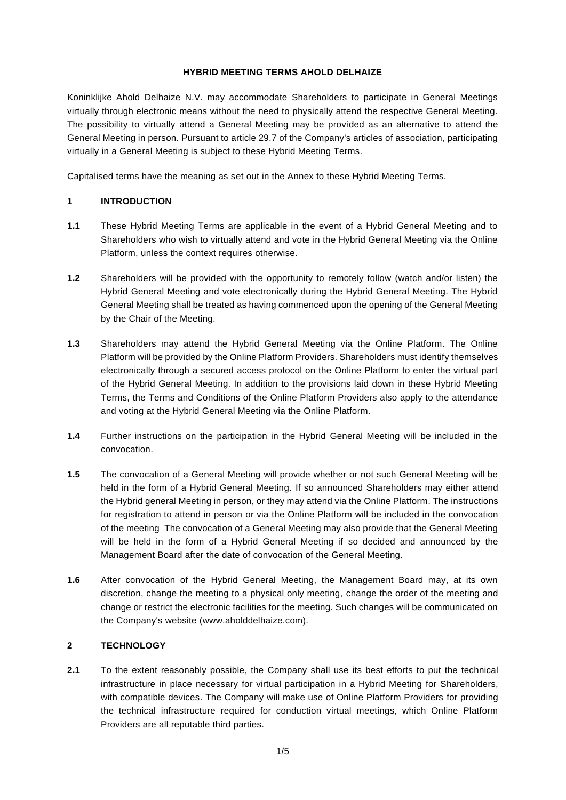#### **HYBRID MEETING TERMS AHOLD DELHAIZE**

Koninklijke Ahold Delhaize N.V. may accommodate Shareholders to participate in General Meetings virtually through electronic means without the need to physically attend the respective General Meeting. The possibility to virtually attend a General Meeting may be provided as an alternative to attend the General Meeting in person. Pursuant to article 29.7 of the Company's articles of association, participating virtually in a General Meeting is subject to these Hybrid Meeting Terms.

Capitalised terms have the meaning as set out in the Annex to these Hybrid Meeting Terms.

# **1 INTRODUCTION**

- **1.1** These Hybrid Meeting Terms are applicable in the event of a Hybrid General Meeting and to Shareholders who wish to virtually attend and vote in the Hybrid General Meeting via the Online Platform, unless the context requires otherwise.
- **1.2** Shareholders will be provided with the opportunity to remotely follow (watch and/or listen) the Hybrid General Meeting and vote electronically during the Hybrid General Meeting. The Hybrid General Meeting shall be treated as having commenced upon the opening of the General Meeting by the Chair of the Meeting.
- **1.3** Shareholders may attend the Hybrid General Meeting via the Online Platform. The Online Platform will be provided by the Online Platform Providers. Shareholders must identify themselves electronically through a secured access protocol on the Online Platform to enter the virtual part of the Hybrid General Meeting. In addition to the provisions laid down in these Hybrid Meeting Terms, the Terms and Conditions of the Online Platform Providers also apply to the attendance and voting at the Hybrid General Meeting via the Online Platform.
- **1.4** Further instructions on the participation in the Hybrid General Meeting will be included in the convocation.
- **1.5** The convocation of a General Meeting will provide whether or not such General Meeting will be held in the form of a Hybrid General Meeting. If so announced Shareholders may either attend the Hybrid general Meeting in person, or they may attend via the Online Platform. The instructions for registration to attend in person or via the Online Platform will be included in the convocation of the meeting The convocation of a General Meeting may also provide that the General Meeting will be held in the form of a Hybrid General Meeting if so decided and announced by the Management Board after the date of convocation of the General Meeting.
- **1.6** After convocation of the Hybrid General Meeting, the Management Board may, at its own discretion, change the meeting to a physical only meeting, change the order of the meeting and change or restrict the electronic facilities for the meeting. Such changes will be communicated on the Company's website (www.aholddelhaize.com).

# **2 TECHNOLOGY**

**2.1** To the extent reasonably possible, the Company shall use its best efforts to put the technical infrastructure in place necessary for virtual participation in a Hybrid Meeting for Shareholders, with compatible devices. The Company will make use of Online Platform Providers for providing the technical infrastructure required for conduction virtual meetings, which Online Platform Providers are all reputable third parties.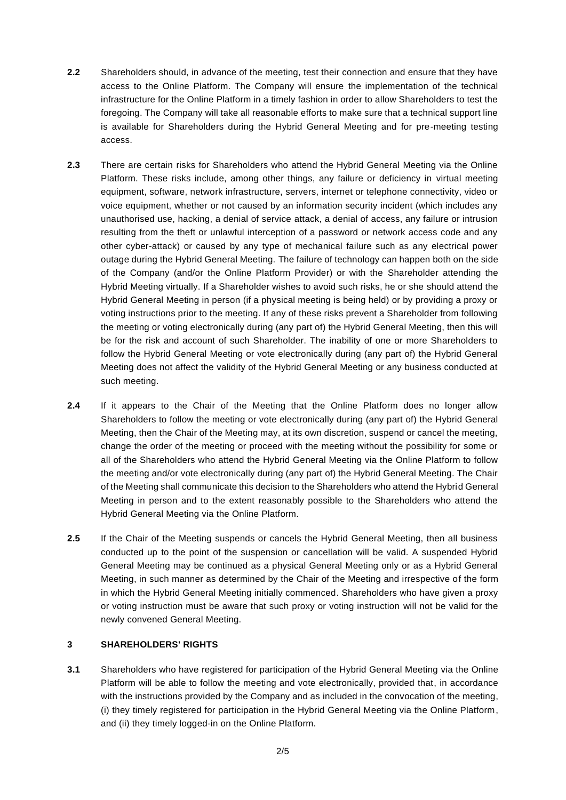- **2.2** Shareholders should, in advance of the meeting, test their connection and ensure that they have access to the Online Platform. The Company will ensure the implementation of the technical infrastructure for the Online Platform in a timely fashion in order to allow Shareholders to test the foregoing. The Company will take all reasonable efforts to make sure that a technical support line is available for Shareholders during the Hybrid General Meeting and for pre-meeting testing access.
- **2.3** There are certain risks for Shareholders who attend the Hybrid General Meeting via the Online Platform. These risks include, among other things, any failure or deficiency in virtual meeting equipment, software, network infrastructure, servers, internet or telephone connectivity, video or voice equipment, whether or not caused by an information security incident (which includes any unauthorised use, hacking, a denial of service attack, a denial of access, any failure or intrusion resulting from the theft or unlawful interception of a password or network access code and any other cyber-attack) or caused by any type of mechanical failure such as any electrical power outage during the Hybrid General Meeting. The failure of technology can happen both on the side of the Company (and/or the Online Platform Provider) or with the Shareholder attending the Hybrid Meeting virtually. If a Shareholder wishes to avoid such risks, he or she should attend the Hybrid General Meeting in person (if a physical meeting is being held) or by providing a proxy or voting instructions prior to the meeting. If any of these risks prevent a Shareholder from following the meeting or voting electronically during (any part of) the Hybrid General Meeting, then this will be for the risk and account of such Shareholder. The inability of one or more Shareholders to follow the Hybrid General Meeting or vote electronically during (any part of) the Hybrid General Meeting does not affect the validity of the Hybrid General Meeting or any business conducted at such meeting.
- **2.4** If it appears to the Chair of the Meeting that the Online Platform does no longer allow Shareholders to follow the meeting or vote electronically during (any part of) the Hybrid General Meeting, then the Chair of the Meeting may, at its own discretion, suspend or cancel the meeting, change the order of the meeting or proceed with the meeting without the possibility for some or all of the Shareholders who attend the Hybrid General Meeting via the Online Platform to follow the meeting and/or vote electronically during (any part of) the Hybrid General Meeting. The Chair of the Meeting shall communicate this decision to the Shareholders who attend the Hybrid General Meeting in person and to the extent reasonably possible to the Shareholders who attend the Hybrid General Meeting via the Online Platform.
- **2.5** If the Chair of the Meeting suspends or cancels the Hybrid General Meeting, then all business conducted up to the point of the suspension or cancellation will be valid. A suspended Hybrid General Meeting may be continued as a physical General Meeting only or as a Hybrid General Meeting, in such manner as determined by the Chair of the Meeting and irrespective of the form in which the Hybrid General Meeting initially commenced. Shareholders who have given a proxy or voting instruction must be aware that such proxy or voting instruction will not be valid for the newly convened General Meeting.

# **3 SHAREHOLDERS' RIGHTS**

**3.1** Shareholders who have registered for participation of the Hybrid General Meeting via the Online Platform will be able to follow the meeting and vote electronically, provided that, in accordance with the instructions provided by the Company and as included in the convocation of the meeting, (i) they timely registered for participation in the Hybrid General Meeting via the Online Platform, and (ii) they timely logged-in on the Online Platform.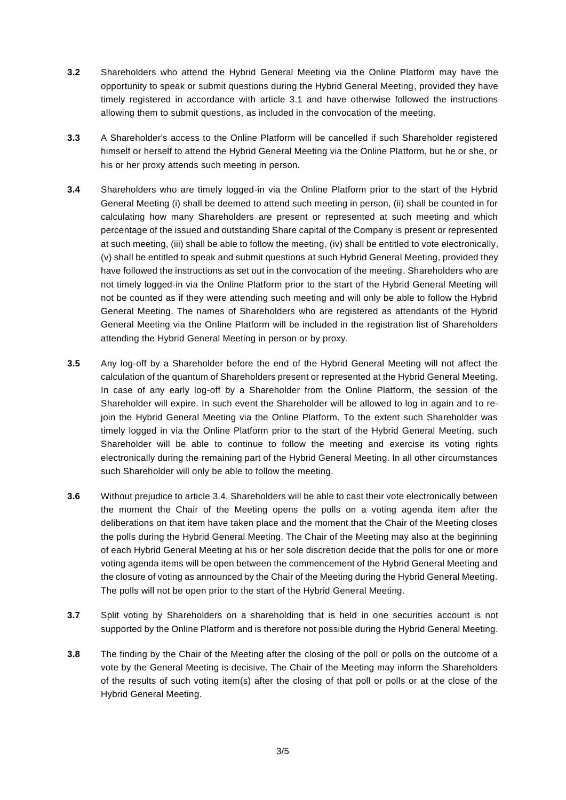- **3.2** Shareholders who attend the Hybrid General Meeting via the Online Platform may have the opportunity to speak or submit questions during the Hybrid General Meeting, provided they have timely registered in accordance with article 3.1 and have otherwise followed the instructions allowing them to submit questions, as included in the convocation of the meeting.
- **3.3** A Shareholder's access to the Online Platform will be cancelled if such Shareholder registered himself or herself to attend the Hybrid General Meeting via the Online Platform, but he or she, or his or her proxy attends such meeting in person.
- <span id="page-2-0"></span>**3.4** Shareholders who are timely logged-in via the Online Platform prior to the start of the Hybrid General Meeting (i) shall be deemed to attend such meeting in person, (ii) shall be counted in for calculating how many Shareholders are present or represented at such meeting and which percentage of the issued and outstanding Share capital of the Company is present or represented at such meeting, (iii) shall be able to follow the meeting, (iv) shall be entitled to vote electronically, (v) shall be entitled to speak and submit questions at such Hybrid General Meeting, provided they have followed the instructions as set out in the convocation of the meeting. Shareholders who are not timely logged-in via the Online Platform prior to the start of the Hybrid General Meeting will not be counted as if they were attending such meeting and will only be able to follow the Hybrid General Meeting. The names of Shareholders who are registered as attendants of the Hybrid General Meeting via the Online Platform will be included in the registration list of Shareholders attending the Hybrid General Meeting in person or by proxy.
- **3.5** Any log-off by a Shareholder before the end of the Hybrid General Meeting will not affect the calculation of the quantum of Shareholders present or represented at the Hybrid General Meeting. In case of any early log-off by a Shareholder from the Online Platform, the session of the Shareholder will expire. In such event the Shareholder will be allowed to log in again and to rejoin the Hybrid General Meeting via the Online Platform. To the extent such Shareholder was timely logged in via the Online Platform prior to the start of the Hybrid General Meeting, such Shareholder will be able to continue to follow the meeting and exercise its voting rights electronically during the remaining part of the Hybrid General Meeting. In all other circumstances such Shareholder will only be able to follow the meeting.
- **3.6** Without prejudice to article [3.4,](#page-2-0) Shareholders will be able to cast their vote electronically between the moment the Chair of the Meeting opens the polls on a voting agenda item after the deliberations on that item have taken place and the moment that the Chair of the Meeting closes the polls during the Hybrid General Meeting. The Chair of the Meeting may also at the beginning of each Hybrid General Meeting at his or her sole discretion decide that the polls for one or more voting agenda items will be open between the commencement of the Hybrid General Meeting and the closure of voting as announced by the Chair of the Meeting during the Hybrid General Meeting. The polls will not be open prior to the start of the Hybrid General Meeting.
- **3.7** Split voting by Shareholders on a shareholding that is held in one securities account is not supported by the Online Platform and is therefore not possible during the Hybrid General Meeting.
- **3.8** The finding by the Chair of the Meeting after the closing of the poll or polls on the outcome of a vote by the General Meeting is decisive. The Chair of the Meeting may inform the Shareholders of the results of such voting item(s) after the closing of that poll or polls or at the close of the Hybrid General Meeting.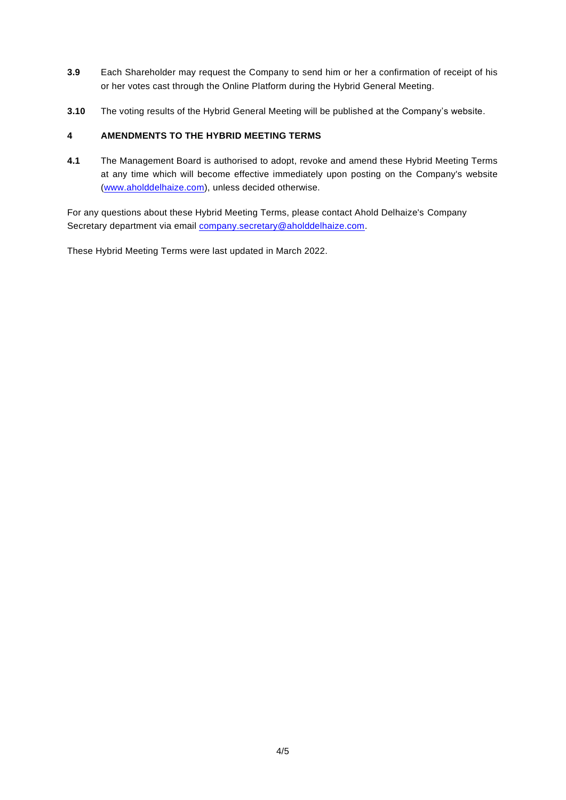- **3.9** Each Shareholder may request the Company to send him or her a confirmation of receipt of his or her votes cast through the Online Platform during the Hybrid General Meeting.
- **3.10** The voting results of the Hybrid General Meeting will be published at the Company's website.

# **4 AMENDMENTS TO THE HYBRID MEETING TERMS**

**4.1** The Management Board is authorised to adopt, revoke and amend these Hybrid Meeting Terms at any time which will become effective immediately upon posting on the Company's website [\(www.aholddelhaize.com\)](http://www.aholddelhaize.com/), unless decided otherwise.

For any questions about these Hybrid Meeting Terms, please contact Ahold Delhaize's Company Secretary department via email [company.secretary@aholddelhaize.com.](mailto:company.secretary@aholddelhaize.com)

These Hybrid Meeting Terms were last updated in March 2022.